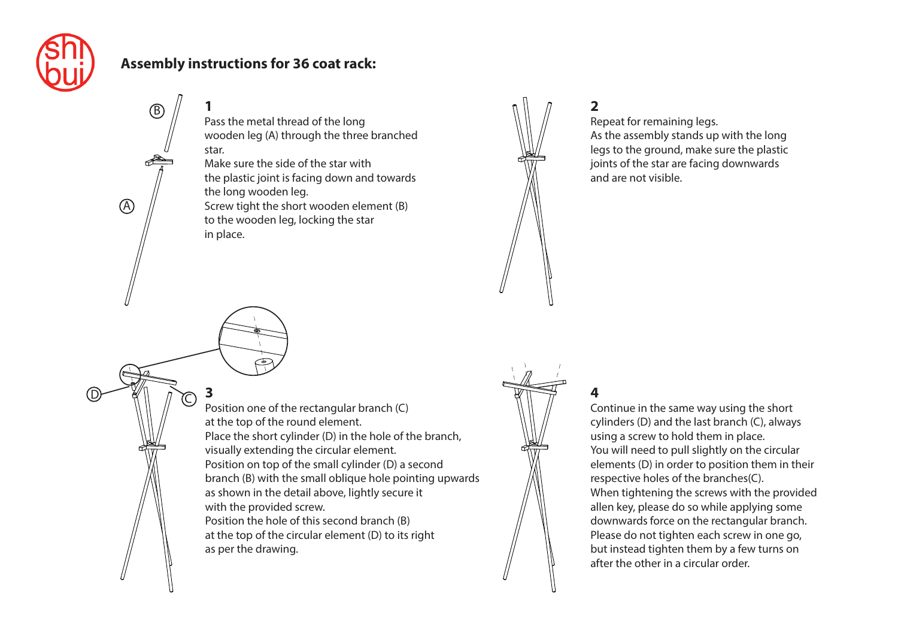

A

D KII 1 C

B

## **Assembly instructions for 36 coat rack:**

in place.

**3**

**1** Pass the metal thread of the long wooden leg (A) through the three branched star.

Make sure the side of the star with the plastic joint is facing down and towards the long wooden leg. Screw tight the short wooden element (B) to the wooden leg, locking the star



**2**

Repeat for remaining legs. As the assembly stands up with the long legs to the ground, make sure the plastic joints of the star are facing downwards and are not visible.

Position one of the rectangular branch (C) at the top of the round element. Place the short cylinder (D) in the hole of the branch, visually extending the circular element. Position on top of the small cylinder (D) a second branch (B) with the small oblique hole pointing upwards as shown in the detail above, lightly secure it with the provided screw. Position the hole of this second branch (B) at the top of the circular element (D) to its right as per the drawing.



## **4**

Continue in the same way using the short cylinders (D) and the last branch (C), always using a screw to hold them in place. You will need to pull slightly on the circular elements (D) in order to position them in their respective holes of the branches(C). When tightening the screws with the provided allen key, please do so while applying some downwards force on the rectangular branch. Please do not tighten each screw in one go, but instead tighten them by a few turns on after the other in a circular order.